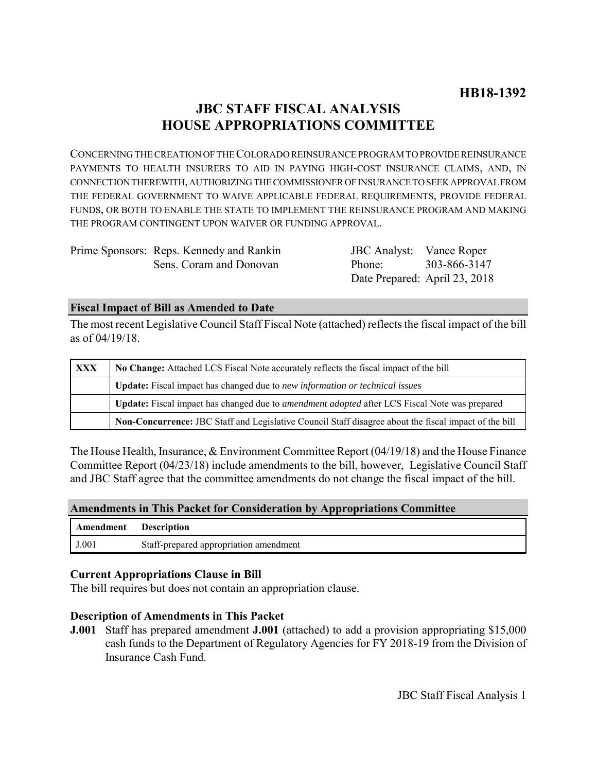# **JBC STAFF FISCAL ANALYSIS HOUSE APPROPRIATIONS COMMITTEE**

CONCERNING THE CREATION OF THE COLORADO REINSURANCE PROGRAM TO PROVIDE REINSURANCE PAYMENTS TO HEALTH INSURERS TO AID IN PAYING HIGH-COST INSURANCE CLAIMS, AND, IN CONNECTION THEREWITH, AUTHORIZING THE COMMISSIONER OF INSURANCE TO SEEK APPROVAL FROM THE FEDERAL GOVERNMENT TO WAIVE APPLICABLE FEDERAL REQUIREMENTS, PROVIDE FEDERAL FUNDS, OR BOTH TO ENABLE THE STATE TO IMPLEMENT THE REINSURANCE PROGRAM AND MAKING THE PROGRAM CONTINGENT UPON WAIVER OR FUNDING APPROVAL.

| Prime Sponsors: Reps. Kennedy and Rankin | <b>JBC</b> Analyst: Vance Roper |              |
|------------------------------------------|---------------------------------|--------------|
| Sens. Coram and Donovan                  | Phone:                          | 303-866-3147 |
|                                          | Date Prepared: April 23, 2018   |              |

## **Fiscal Impact of Bill as Amended to Date**

The most recent Legislative Council Staff Fiscal Note (attached) reflects the fiscal impact of the bill as of 04/19/18.

| <b>XXX</b> | No Change: Attached LCS Fiscal Note accurately reflects the fiscal impact of the bill                 |  |
|------------|-------------------------------------------------------------------------------------------------------|--|
|            | <b>Update:</b> Fiscal impact has changed due to new information or technical issues                   |  |
|            | Update: Fiscal impact has changed due to <i>amendment adopted</i> after LCS Fiscal Note was prepared  |  |
|            | Non-Concurrence: JBC Staff and Legislative Council Staff disagree about the fiscal impact of the bill |  |

The House Health, Insurance, & Environment Committee Report (04/19/18) and the House Finance Committee Report (04/23/18) include amendments to the bill, however, Legislative Council Staff and JBC Staff agree that the committee amendments do not change the fiscal impact of the bill.

### **Amendments in This Packet for Consideration by Appropriations Committee**

| Amendment | <b>Description</b>                     |
|-----------|----------------------------------------|
| J.001     | Staff-prepared appropriation amendment |

## **Current Appropriations Clause in Bill**

The bill requires but does not contain an appropriation clause.

## **Description of Amendments in This Packet**

**J.001** Staff has prepared amendment **J.001** (attached) to add a provision appropriating \$15,000 cash funds to the Department of Regulatory Agencies for FY 2018-19 from the Division of Insurance Cash Fund.